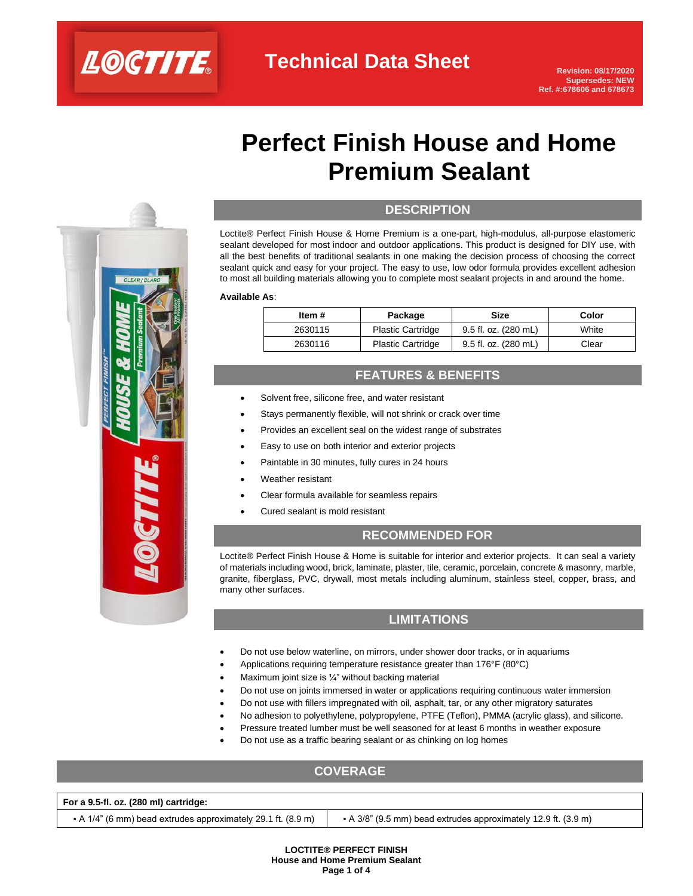

 $CLEADII$ 

# **Perfect Finish House and Home Premium Sealant**

# **DESCRIPTION Sealant**

Loctite® Perfect Finish House & Home Premium is a one-part, high-modulus, all-purpose elastomeric sealant developed for most indoor and outdoor applications. This product is designed for DIY use, with all the best benefits of traditional sealants in one making the decision process of choosing the correct sealant quick and easy for your project. The easy to use, low odor formula provides excellent adhesion to most all building materials allowing you to complete most sealant projects in and around the home.

**Available As**:

| Item #  | Package                  | Size                 | Color |
|---------|--------------------------|----------------------|-------|
| 2630115 | <b>Plastic Cartridge</b> | 9.5 fl. oz. (280 mL) | White |
| 2630116 | <b>Plastic Cartridge</b> | 9.5 fl. oz. (280 mL) | Clear |

### **FEATURES & BENEFITS**

- Solvent free, silicone free, and water resistant
- Stays permanently flexible, will not shrink or crack over time
- Provides an excellent seal on the widest range of substrates
- Easy to use on both interior and exterior projects
- Paintable in 30 minutes, fully cures in 24 hours
- Weather resistant
- Clear formula available for seamless repairs
- Cured sealant is mold resistant

#### **RECOMMENDED FOR**

Loctite® Perfect Finish House & Home is suitable for interior and exterior projects. It can seal a variety of materials including wood, brick, laminate, plaster, tile, ceramic, porcelain, concrete & masonry, marble, granite, fiberglass, PVC, drywall, most metals including aluminum, stainless steel, copper, brass, and many other surfaces.

### **LIMITATIONS**

- Do not use below waterline, on mirrors, under shower door tracks, or in aquariums
- Applications requiring temperature resistance greater than 176°F (80°C)
- Maximum joint size is ¼" without backing material
- Do not use on joints immersed in water or applications requiring continuous water immersion
- Do not use with fillers impregnated with oil, asphalt, tar, or any other migratory saturates
- No adhesion to polyethylene, polypropylene, PTFE (Teflon), PMMA (acrylic glass), and silicone.
- Pressure treated lumber must be well seasoned for at least 6 months in weather exposure
- Do not use as a traffic bearing sealant or as chinking on log homes

## **COVERAGE**

#### **For a 9.5-fl. oz. (280 ml) cartridge:**

 $\bullet$  A 1/4" (6 mm) bead extrudes approximately 29.1 ft. (8.9 m)  $\bullet$  A 3/8" (9.5 mm) bead extrudes approximately 12.9 ft. (3.9 m)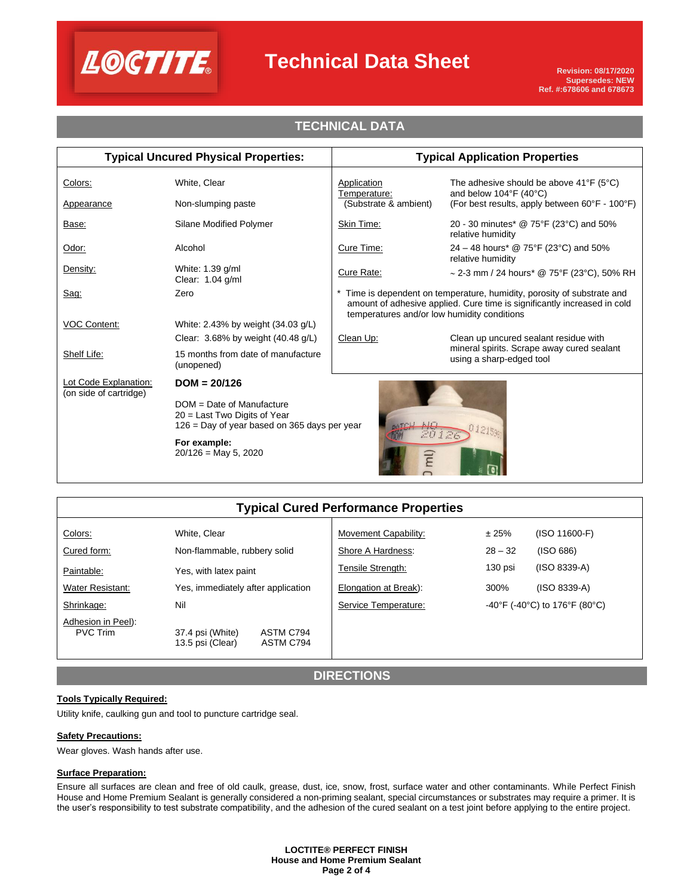

## **Technical Data Sheet**

## **TECHNICAL DATA**

| <b>Typical Uncured Physical Properties:</b>                                                                            |                                                  | <b>Typical Application Properties</b>                                                                                                                                                            |                                                                                                                                                        |  |
|------------------------------------------------------------------------------------------------------------------------|--------------------------------------------------|--------------------------------------------------------------------------------------------------------------------------------------------------------------------------------------------------|--------------------------------------------------------------------------------------------------------------------------------------------------------|--|
| Colors:<br>Appearance                                                                                                  | White, Clear<br>Non-slumping paste               | Application<br>Temperature:<br>(Substrate & ambient)                                                                                                                                             | The adhesive should be above $41^{\circ}F$ (5 $^{\circ}C$ )<br>and below $104^{\circ}F(40^{\circ}C)$<br>(For best results, apply between 60°F - 100°F) |  |
| Base:                                                                                                                  | Silane Modified Polymer                          | Skin Time:                                                                                                                                                                                       | 20 - 30 minutes* @ 75°F (23°C) and 50%<br>relative humidity                                                                                            |  |
| Odor:                                                                                                                  | Alcohol                                          | Cure Time:                                                                                                                                                                                       | 24 – 48 hours* @ 75°F (23°C) and 50%<br>relative humidity                                                                                              |  |
| Density:                                                                                                               | White: 1.39 g/ml<br>Clear: 1.04 g/ml             | Cure Rate:                                                                                                                                                                                       | $\sim$ 2-3 mm / 24 hours* @ 75°F (23°C), 50% RH                                                                                                        |  |
| Sag:                                                                                                                   | Zero                                             | Time is dependent on temperature, humidity, porosity of substrate and<br>amount of adhesive applied. Cure time is significantly increased in cold<br>temperatures and/or low humidity conditions |                                                                                                                                                        |  |
| <b>VOC Content:</b>                                                                                                    | White: 2.43% by weight (34.03 g/L)               |                                                                                                                                                                                                  |                                                                                                                                                        |  |
|                                                                                                                        | Clear: $3.68\%$ by weight (40.48 g/L)            | Clean Up:                                                                                                                                                                                        | Clean up uncured sealant residue with                                                                                                                  |  |
| Shelf Life:                                                                                                            | 15 months from date of manufacture<br>(unopened) |                                                                                                                                                                                                  | mineral spirits. Scrape away cured sealant<br>using a sharp-edged tool                                                                                 |  |
| Lot Code Explanation:<br>(on side of cartridge)                                                                        | $DOM = 20/126$                                   |                                                                                                                                                                                                  |                                                                                                                                                        |  |
| $DOM = Date of Manufacturing$<br>20 = Last Two Digits of Year<br>126 = Day of year based on 365 days per year<br>20126 |                                                  |                                                                                                                                                                                                  |                                                                                                                                                        |  |
|                                                                                                                        | For example:<br>$20/126$ = May 5, 2020           | $\overline{E}$                                                                                                                                                                                   |                                                                                                                                                        |  |

## **Typical Cured Performance Properties**

| Colors:                               | White, Clear                                                   | Movement Capability:  | ± 25%     | (ISO 11600-F)                 |
|---------------------------------------|----------------------------------------------------------------|-----------------------|-----------|-------------------------------|
| Cured form:                           | Non-flammable, rubbery solid                                   | Shore A Hardness:     | $28 - 32$ | (ISO 686)                     |
| Paintable:                            | Yes, with latex paint                                          | Tensile Strength:     | $130$ psi | $(ISO 8339-A)$                |
| Water Resistant:                      | Yes, immediately after application                             | Elongation at Break): | 300%      | (ISO 8339-A)                  |
| Shrinkage:                            | Nil                                                            | Service Temperature:  |           | -40°F (-40°C) to 176°F (80°C) |
| Adhesion in Peel):<br><b>PVC Trim</b> | 37.4 psi (White)<br>ASTM C794<br>13.5 psi (Clear)<br>ASTM C794 |                       |           |                               |

**DIRECTIONS**

#### **Tools Typically Required:**

Utility knife, caulking gun and tool to puncture cartridge seal.

#### **Safety Precautions:**

Wear gloves. Wash hands after use.

#### **Surface Preparation:**

Ensure all surfaces are clean and free of old caulk, grease, dust, ice, snow, frost, surface water and other contaminants. While Perfect Finish House and Home Premium Sealant is generally considered a non-priming sealant, special circumstances or substrates may require a primer. It is the user's responsibility to test substrate compatibility, and the adhesion of the cured sealant on a test joint before applying to the entire project.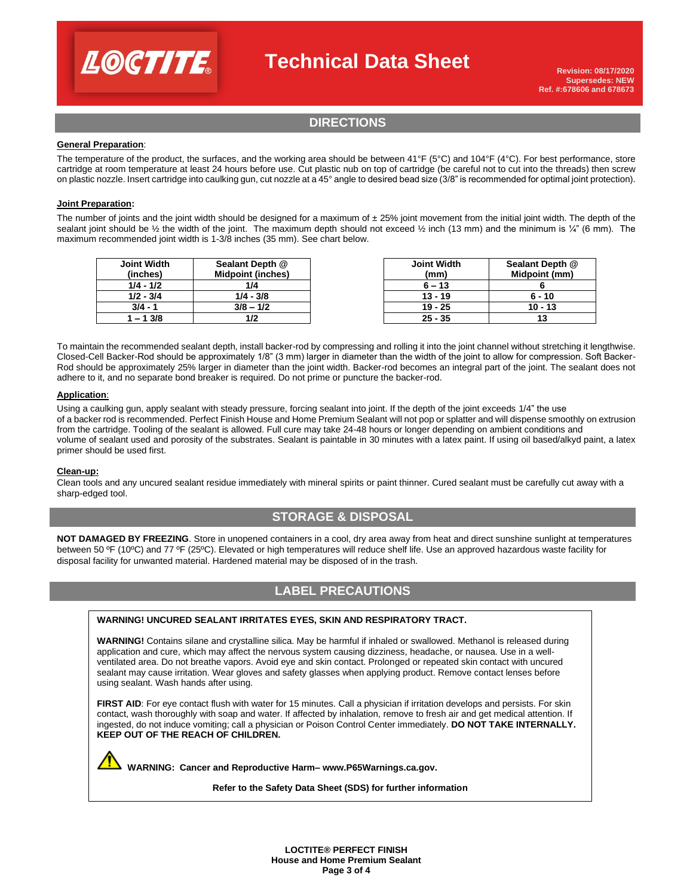

## **Technical Data Sheet**

### **DIRECTIONS**

#### **General Preparation**:

The temperature of the product, the surfaces, and the working area should be between 41°F (5°C) and 104°F (4°C). For best performance, store cartridge at room temperature at least 24 hours before use. Cut plastic nub on top of cartridge (be careful not to cut into the threads) then screw on plastic nozzle. Insert cartridge into caulking gun, cut nozzle at a 45° angle to desired bead size (3/8" is recommended for optimal joint protection).

#### **Joint Preparation:**

The number of joints and the joint width should be designed for a maximum of  $\pm 25%$  joint movement from the initial joint width. The depth of the sealant joint should be  $\frac{1}{2}$  the width of the joint. The maximum depth should not exceed  $\frac{1}{2}$  inch (13 mm) and the minimum is  $\frac{1}{4}$ " (6 mm). The maximum recommended joint width is 1-3/8 inches (35 mm). See chart below.

| <b>Joint Width</b> | Sealant Depth @          | <b>Joint Width</b> | <b>Sealant Dep</b> |
|--------------------|--------------------------|--------------------|--------------------|
| (inches)           | <b>Midpoint (inches)</b> | (mm)               | Midpoint (         |
| 1/4 - 1/2          | 1/4                      | $6 - 13$           |                    |
| $1/2 - 3/4$        | $1/4 - 3/8$              | $13 - 19$          | $6 - 10$           |
| $3/4 - 1$          | $3/8 - 1/2$              | $19 - 25$          | $10 - 13$          |
| 1 – 1 3/8          |                          | $25 - 35$          |                    |

| <b>Joint Width</b> | Sealant Depth @ |
|--------------------|-----------------|
| (mm)               | Midpoint (mm)   |
| $6 - 13$           |                 |
| $13 - 19$          | 6 - 10          |
| $19 - 25$          | $10 - 13$       |
| $25 - 35$          | 13              |

To maintain the recommended sealant depth, install backer-rod by compressing and rolling it into the joint channel without stretching it lengthwise. Closed-Cell Backer-Rod should be approximately 1/8" (3 mm) larger in diameter than the width of the joint to allow for compression. Soft Backer-Rod should be approximately 25% larger in diameter than the joint width. Backer-rod becomes an integral part of the joint. The sealant does not adhere to it, and no separate bond breaker is required. Do not prime or puncture the backer-rod.

#### **Application**:

Using a caulking gun, apply sealant with steady pressure, forcing sealant into joint. If the depth of the joint exceeds 1/4" the use of a backer rod is recommended. Perfect Finish House and Home Premium Sealant will not pop or splatter and will dispense smoothly on extrusion from the cartridge. Tooling of the sealant is allowed. Full cure may take 24-48 hours or longer depending on ambient conditions and volume of sealant used and porosity of the substrates. Sealant is paintable in 30 minutes with a latex paint. If using oil based/alkyd paint, a latex primer should be used first.

#### **Clean-up:**

Clean tools and any uncured sealant residue immediately with mineral spirits or paint thinner. Cured sealant must be carefully cut away with a sharp-edged tool.

## **STORAGE & DISPOSAL**

**NOT DAMAGED BY FREEZING**. Store in unopened containers in a cool, dry area away from heat and direct sunshine sunlight at temperatures between 50 ºF (10ºC) and 77 ºF (25ºC). Elevated or high temperatures will reduce shelf life. Use an approved hazardous waste facility for disposal facility for unwanted material. Hardened material may be disposed of in the trash.

## **LABEL PRECAUTIONS**

#### **WARNING! UNCURED SEALANT IRRITATES EYES, SKIN AND RESPIRATORY TRACT.**

**WARNING!** Contains silane and crystalline silica. May be harmful if inhaled or swallowed. Methanol is released during application and cure, which may affect the nervous system causing dizziness, headache, or nausea. Use in a wellventilated area. Do not breathe vapors. Avoid eye and skin contact. Prolonged or repeated skin contact with uncured sealant may cause irritation. Wear gloves and safety glasses when applying product. Remove contact lenses before using sealant. Wash hands after using.

FIRST AID: For eye contact flush with water for 15 minutes. Call a physician if irritation develops and persists. For skin contact, wash thoroughly with soap and water. If affected by inhalation, remove to fresh air and get medical attention. If ingested, do not induce vomiting; call a physician or Poison Control Center immediately. **DO NOT TAKE INTERNALLY. KEEP OUT OF THE REACH OF CHILDREN.**

 **WARNING: Cancer and Reproductive Harm– www.P65Warnings.ca.gov.** 

**Refer to the Safety Data Sheet (SDS) for further information**